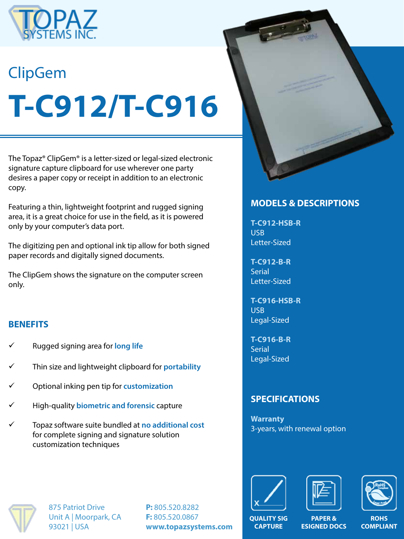

# ClipGem **T-C912/T-C916**

The Topaz® ClipGem® is a letter-sized or legal-sized electronic signature capture clipboard for use wherever one party desires a paper copy or receipt in addition to an electronic copy.

Featuring a thin, lightweight footprint and rugged signing area, it is a great choice for use in the field, as it is powered only by your computer's data port.

The digitizing pen and optional ink tip allow for both signed paper records and digitally signed documents.

The ClipGem shows the signature on the computer screen only.

## **BENEFITS**

- ü Rugged signing area for **long life**
- ü Thin size and lightweight clipboard for **portability**
- ü Optional inking pen tip for **customization**
- ü High-quality **biometric and forensic** capture
- ü Topaz software suite bundled at **no additional cost**  for complete signing and signature solution customization techniques



## **MODELS & DESCRIPTIONS**

**T-C912-HSB-R** USB Letter-Sized

**T-C912-B-R Serial** Letter-Sized

**T-C916-HSB-R** USB Legal-Sized

**T-C916-B-R Serial** Legal-Sized

## **SPECIFICATIONS**

**Warranty** 3-years, with renewal option







875 Patriot Drive Unit A | Moorpark, CA 93021 | USA

**P:** 805.520.8282 **F:** 805.520.0867 **www.topazsystems.com**

**QUALITY SIG CAPTURE**

**PAPER & ESIGNED DOCS**

**ROHS COMPLIANT**